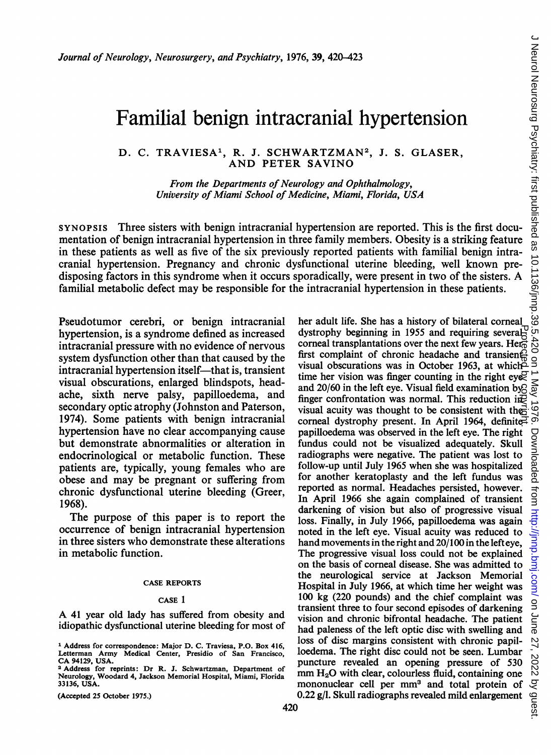# Familial benign intracranial hypertension

# D. C. TRAVIESA<sup>1</sup>, R. J. SCHWARTZMAN<sup>2</sup>, J. S. GLASER, AND PETER SAVINO

From the Departments of Neurology and Ophthalmology, University of Miami School of Medicine, Miami, Florida, USA

SYNOPSIS Three sisters with benign intracranial hypertension are reported. This is the first documentation of benign intracranial hypertension in three family members. Obesity is a striking feature in these patients as well as five of the six previously reported patients with familial benign intracranial hypertension. Pregnancy and chronic dysfunctional uterine bleeding, well known predisposing factors in this syndrome when it occurs sporadically, were present in two of the sisters. A familial metabolic defect may be responsible for the intracranial hypertension in these patients.

Pseudotumor cerebri, or benign intracranial hypertension, is a syndrome defined as increased intracranial pressure with no evidence of nervous system dysfunction other than that caused by the intracranial hypertension itself—that is, transient visual obscurations, enlarged blindspots, headache, sixth nerve palsy, papilloedema, and secondary optic atrophy (Johnston and Paterson, 1974). Some patients with benign intracranial hypertension have no clear accompanying cause but demonstrate abnormalities or alteration in endocrinological or metabolic function. These patients are, typically, young females who are obese and may be pregnant or suffering from chronic dysfunctional uterine bleeding (Greer, 1968).

The purpose of this paper is to report the occurrence of benign intracranial hypertension in three sisters who demonstrate these alterations in metabolic function.

## CASE REPORTS

#### CASE <sup>1</sup>

A <sup>41</sup> year old lady has suffered from obesity and idiopathic dysfunctional uterine bleeding for most of

(Accepted 25 October 1975.)

her adult life. She has a history of bilateral comeal dystrophy beginning in 1955 and requiring several<sup>1</sup> $\overline{C}$ corneal transplantations over the next few years. Here first complaint of chronic headache and transient? visual obscurations was in October 1963, at which<sup>2</sup> time her vision was finger counting in the right eye and 20/60 in the left eye. Visual field examination by<sub>2</sub> finger confrontation was normal. This reduction in visual acuity was thought to be consistent with the corneal dystrophy present. In April 1964, definitepapilloedema was observed in the left eye. The right fundus could not be visualized adequately. Skull radiographs were negative. The patient was lost to follow-up until July 1965 when she was hospitalized for another keratoplasty and the left fundus was reported as normal. Headaches persisted, however. In April 1966 she again complained of transient darkening of vision but also of progressive visual loss. Finally, in July 1966, papilloedema was again noted in the left eye. Visual acuity was reduced to hand movements in the right and 20/100 in the lefteye, The progressive visual loss could not be explained on the basis of corneal disease. She was admitted to the neurological service at Jackson Memorial Hospital in July 1966, at which time her weight was 100 kg (220 pounds) and the chief complaint was transient three to four second episodes of darkening vision and chronic bifrontal headache. The patient had paleness of the left optic disc with swelling and loss of disc margins consistent with chronic papilloedema. The right disc could not be seen. Lumbar puncture revealed an opening pressure of 530  $mm H<sub>2</sub>O$  with clear, colourless fluid, containing one mononuclear cell per mm<sup>3</sup> and total protein of 0.22 g/l. Skull radiographs revealed mild enlargement Protected by copyright.

<sup>1</sup> Address for correspondence: Major D. C. Traviesa, P.O. Box 416, Letterman Army Medical Center, Presidio of San Francisco, CA 94129, USA.

<sup>&</sup>lt;sup>2</sup> Address for reprints: Dr R. J. Schwartzman, Department of Neurology, Woodard 4, Jackson Memorial Hospital, Miami, Florida 33136, USA.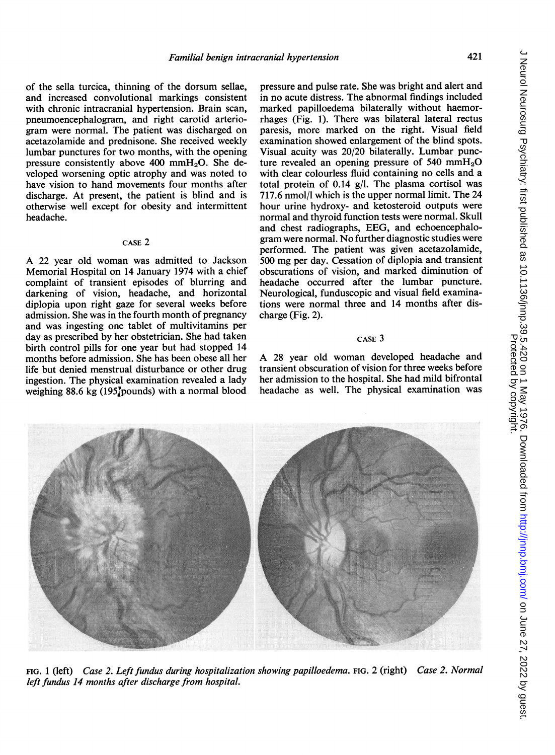of the sella turcica, thinning of the dorsum sellae, and increased convolutional markings consistent with chronic intracranial hypertension. Brain scan, pneumoencephalogram, and right carotid arteriogram were normal. The patient was discharged on acetazolamide and prednisone. She received weekly lumbar punctures for two months, with the opening pressure consistently above  $400 \text{ mm}H_2O$ . She developed worsening optic atrophy and was noted to have vision to hand movements four months after discharge. At present, the patient is blind and is otherwise well except for obesity and intermittent headache.

#### CASE 2

A <sup>22</sup> year old woman was admitted to Jackson Memorial Hospital on 14 January 1974 with a chief complaint of transient episodes of blurring and darkening of vision, headache, and horizontal diplopia upon right gaze for several weeks before admission. She was in the fourth month of pregnancy and was ingesting one tablet of multivitamins per day as prescribed by her obstetrician. She had taken birth control pills for one year but had stopped 14 months before admission. She has been obese all her life but denied menstrual disturbance or other drug ingestion. The physical examination revealed a lady weighing  $88.6 \text{ kg}$  (195 $\text{pounds}$ ) with a normal blood pressure and pulse rate. She was bright and alert and in no acute distress. The abnormal findings included marked papilloedema bilaterally without haemorrhages (Fig. 1). There was bilateral lateral rectus paresis, more marked on the right. Visual field examination showed enlargement of the blind spots. Visual acuity was 20/20 bilaterally. Lumbar puncture revealed an opening pressure of 540 mm $H_2O$ with clear colourless fluid containing no cells and a total protein of 0.14  $g/l$ . The plasma cortisol was 717.6 nmol/l which is the upper normal limit. The 24 hour urine hydroxy- and ketosteroid outputs were normal and thyroid function tests were normal. Skull and chest radiographs, EEG, and echoencephalogram were normal. No further diagnostic studies were performed. The patient was given acetazolamide, 500 mg per day. Cessation of diplopia and transient obscurations of vision, and marked diminution of headache occurred after the lumbar puncture. Neurological, funduscopic and visual field examinations were normal three and 14 months after discharge (Fig. 2).

## CASE 3

A <sup>28</sup> year old woman developed headache and transient obscuration of vision for three weeks before her admission to the hospital. She had mild bifrontal headache as well. The physical examination was



FIG. <sup>1</sup> (left) Case 2. Left fundus during hospitalization showing papilloedema. FIG. 2 (right) Case 2. Normal left fundus 14 months after discharge from hospital.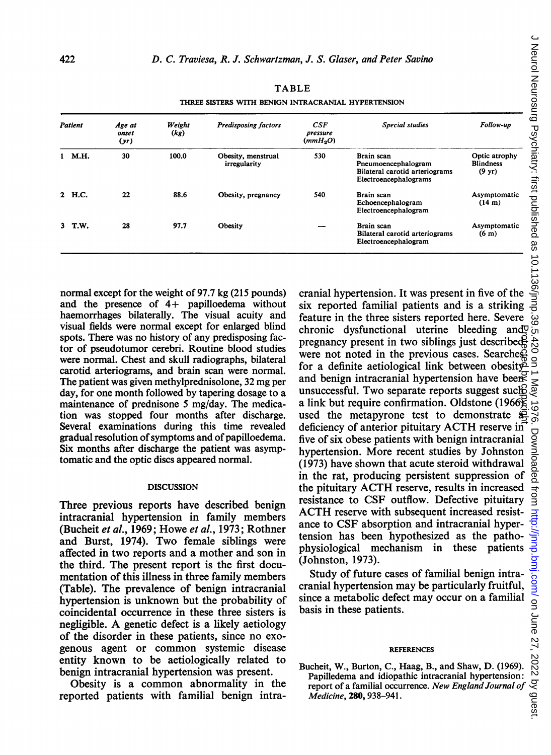| Patient |        | Age at<br>onset<br>(yr) | Weight<br>(kg) | <b>Predisposing factors</b>        | CSE<br>pressure<br>(mmH <sub>2</sub> O) | Special studies                                                                              | Follow-up                                             |
|---------|--------|-------------------------|----------------|------------------------------------|-----------------------------------------|----------------------------------------------------------------------------------------------|-------------------------------------------------------|
|         | 1 M.H. | 30                      | 100.0          | Obesity, menstrual<br>irregularity | 530                                     | Brain scan<br>Pneumoencephalogram<br>Bilateral carotid arteriograms<br>Electroencephalograms | Optic atrophy<br><b>Blindness</b><br>$(9 \text{ yr})$ |
|         | 2 H.C. | 22                      | 88.6           | Obesity, pregnancy                 | 540                                     | Brain scan<br>Echoencephalogram<br>Electroencephalogram                                      | Asymptomatic<br>(14 m)                                |
|         | 3 T.W. | 28                      | 97.7           | Obesity                            |                                         | Brain scan<br>Bilateral carotid arteriograms<br>Electroencephalogram                         | Asymptomatic<br>(6 <sub>m</sub> )                     |

THREE SISTERS WITH BENIGN INTRACRANIAL HYPERTENSION

normal except for the weight of 97.7 kg (215 pounds) and the presence of 4+ papilloedema without haemorrhages bilaterally. The visual acuity and visual fields were normal except for enlarged blind spots. There was no history of any predisposing factor of pseudotumor cerebri. Routine blood studies were normal. Chest and skull radiographs, bilateral carotid arteriograms, and brain scan were normal. The patient was given methylprednisolone, 32 mg per day, for one month followed by tapering dosage to a maintenance of prednisone 5 mg/day. The medication was stopped four months after discharge. Several examinations during this time revealed gradual resolution of symptoms and of papilloedema. Six months after discharge the patient was asymptomatic and the optic discs appeared normal.

## **DISCUSSION**

Three previous reports have described benign intracranial hypertension in family members (Bucheit et al., 1969; Howe et al., 1973; Rothner and Burst, 1974). Two female siblings were affected in two reports and a mother and son in the third. The present report is the first documentation of this illness in three family members (Table). The prevalence of benign intracranial hypertension is unknown but the probability of coincidental occurrence in these three sisters is negligible. A genetic defect is <sup>a</sup> likely aetiology of the disorder in these patients, since no exogenous agent or common systemic disease entity known to be aetiologically related to benign intracranial hypertension was present.

Obesity is a common abnormality in the reported patients with familial benign intra-

cranial hypertension. It was present in five of the six reported familial patients and is a striking feature in the three sisters reported here. Severe chronic dysfunctional uterine bleeding and pregnancy present in two siblings just described were not noted in the previous cases. Searches for a definite aetiological link between obesity and benign intracranial hypertension have been unsuccessful. Two separate reports suggest such a link but require confirmation. Oldstone (1966) used the metapyrone test to demonstrate  $\overline{a}$ deficiency of anterior pituitary ACTH reserve in five of six obese patients with benign intracranial hypertension. More recent studies by Johnston (1973) have shown that acute steroid withdrawal in the rat, producing persistent suppression of the pituitary ACTH reserve, results in increased resistance to CSF outflow. Defective pituitary ACTH reserve with subsequent increased resistance to CSF absorption and intracranial hypertension has been hypothesized as the pathophysiological mechanism in these patients (Johnston, 1973). Protected by copyright.

Study of future cases of familial benign intracranial hypertension may be particularly fruitful, since a metabolic defect may occur on a familial basis in these patients.

## **REFERENCES**

Bucheit, W., Burton, C., Haag, B., and Shaw, D. (1969). Papilledema and idiopathic intracranial hypertension: report of a familial occurrence. New England Journal of Medicine, 280, 938-941.